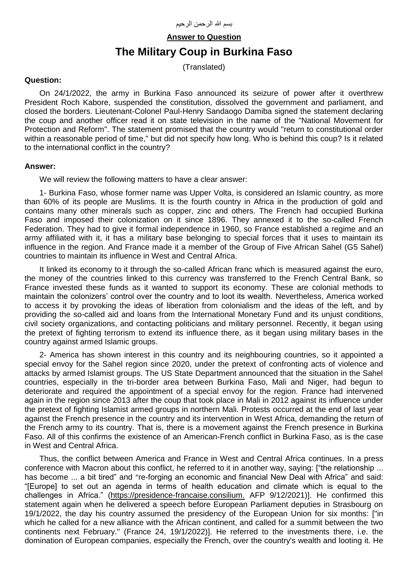**Answer to Question**

## **The Military Coup in Burkina Faso**

(Translated)

## **Question:**

On 24/1/2022, the army in Burkina Faso announced its seizure of power after it overthrew President Roch Kabore, suspended the constitution, dissolved the government and parliament, and closed the borders. Lieutenant-Colonel Paul-Henry Sandaogo Damiba signed the statement declaring the coup and another officer read it on state television in the name of the "National Movement for Protection and Reform". The statement promised that the country would "return to constitutional order within a reasonable period of time," but did not specify how long. Who is behind this coup? Is it related to the international conflict in the country?

## **Answer:**

We will review the following matters to have a clear answer:

1- Burkina Faso, whose former name was Upper Volta, is considered an Islamic country, as more than 60% of its people are Muslims. It is the fourth country in Africa in the production of gold and contains many other minerals such as copper, zinc and others. The French had occupied Burkina Faso and imposed their colonization on it since 1896. They annexed it to the so-called French Federation. They had to give it formal independence in 1960, so France established a regime and an army affiliated with it, it has a military base belonging to special forces that it uses to maintain its influence in the region. And France made it a member of the Group of Five African Sahel (G5 Sahel) countries to maintain its influence in West and Central Africa.

It linked its economy to it through the so-called African franc which is measured against the euro, the money of the countries linked to this currency was transferred to the French Central Bank, so France invested these funds as it wanted to support its economy. These are colonial methods to maintain the colonizers' control over the country and to loot its wealth. Nevertheless, America worked to access it by provoking the ideas of liberation from colonialism and the ideas of the left, and by providing the so-called aid and loans from the International Monetary Fund and its unjust conditions, civil society organizations, and contacting politicians and military personnel. Recently, it began using the pretext of fighting terrorism to extend its influence there, as it began using military bases in the country against armed Islamic groups.

2- America has shown interest in this country and its neighbouring countries, so it appointed a special envoy for the Sahel region since 2020, under the pretext of confronting acts of violence and attacks by armed Islamist groups. The US State Department announced that the situation in the Sahel countries, especially in the tri-border area between Burkina Faso, Mali and Niger, had begun to deteriorate and required the appointment of a special envoy for the region. France had intervened again in the region since 2013 after the coup that took place in Mali in 2012 against its influence under the pretext of fighting Islamist armed groups in northern Mali. Protests occurred at the end of last year against the French presence in the country and its intervention in West Africa, demanding the return of the French army to its country. That is, there is a movement against the French presence in Burkina Faso. All of this confirms the existence of an American-French conflict in Burkina Faso, as is the case in West and Central Africa.

Thus, the conflict between America and France in West and Central Africa continues. In a press conference with Macron about this conflict, he referred to it in another way, saying: ["the relationship ... has become ... a bit tired" and "re-forging an economic and financial New Deal with Africa" and said: "[Europe] to set out an agenda in terms of health education and climate which is equal to the challenges in Africa." [\(https://presidence-francaise.consilium.](https://presidence-francaise.consilium.europa.eu/en/news/french-president-emmanuel-macron-press-conference-speech/) AFP 9/12/2021)]. He confirmed this statement again when he delivered a speech before European Parliament deputies in Strasbourg on 19/1/2022, the day his country assumed the presidency of the European Union for six months: ["in which he called for a new alliance with the African continent, and called for a summit between the two continents next February." (France 24, 19/1/2022)]. He referred to the investments there, i.e. the domination of European companies, especially the French, over the country's wealth and looting it. He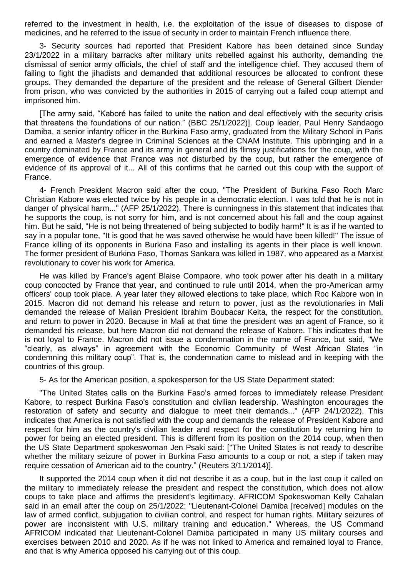referred to the investment in health, i.e. the exploitation of the issue of diseases to dispose of medicines, and he referred to the issue of security in order to maintain French influence there.

3- Security sources had reported that President Kabore has been detained since Sunday 23/1/2022 in a military barracks after military units rebelled against his authority, demanding the dismissal of senior army officials, the chief of staff and the intelligence chief. They accused them of failing to fight the jihadists and demanded that additional resources be allocated to confront these groups. They demanded the departure of the president and the release of General Gilbert Diender from prison, who was convicted by the authorities in 2015 of carrying out a failed coup attempt and imprisoned him.

[The army said, "Kaboré has failed to unite the nation and deal effectively with the security crisis that threatens the foundations of our nation." (BBC 25/1/2022)]. Coup leader, Paul Henry Sandaogo Damiba, a senior infantry officer in the Burkina Faso army, graduated from the Military School in Paris and earned a Master's degree in Criminal Sciences at the CNAM Institute. This upbringing and in a country dominated by France and its army in general and its flimsy justifications for the coup, with the emergence of evidence that France was not disturbed by the coup, but rather the emergence of evidence of its approval of it... All of this confirms that he carried out this coup with the support of France.

4- French President Macron said after the coup, "The President of Burkina Faso Roch Marc Christian Kabore was elected twice by his people in a democratic election. I was told that he is not in danger of physical harm..." (AFP 25/1/2022). There is cunningness in this statement that indicates that he supports the coup, is not sorry for him, and is not concerned about his fall and the coup against him. But he said, "He is not being threatened of being subjected to bodily harm!" It is as if he wanted to say in a popular tone, "It is good that he was saved otherwise he would have been killed!" The issue of France killing of its opponents in Burkina Faso and installing its agents in their place is well known. The former president of Burkina Faso, Thomas Sankara was killed in 1987, who appeared as a Marxist revolutionary to cover his work for America.

He was killed by France's agent Blaise Compaore, who took power after his death in a military coup concocted by France that year, and continued to rule until 2014, when the pro-American army officers' coup took place. A year later they allowed elections to take place, which Roc Kabore won in 2015. Macron did not demand his release and return to power, just as the revolutionaries in Mali demanded the release of Malian President Ibrahim Boubacar Keita, the respect for the constitution, and return to power in 2020. Because in Mali at that time the president was an agent of France, so it demanded his release, but here Macron did not demand the release of Kabore. This indicates that he is not loyal to France. Macron did not issue a condemnation in the name of France, but said, "We "clearly, as always" in agreement with the Economic Community of West African States "in condemning this military coup". That is, the condemnation came to mislead and in keeping with the countries of this group.

5- As for the American position, a spokesperson for the US State Department stated:

"The United States calls on the Burkina Faso's armed forces to immediately release President Kabore, to respect Burkina Faso's constitution and civilian leadership. Washington encourages the restoration of safety and security and dialogue to meet their demands..." (AFP 24/1/2022). This indicates that America is not satisfied with the coup and demands the release of President Kabore and respect for him as the country's civilian leader and respect for the constitution by returning him to power for being an elected president. This is different from its position on the 2014 coup, when then the US State Department spokeswoman Jen Psaki said: ["The United States is not ready to describe whether the military seizure of power in Burkina Faso amounts to a coup or not, a step if taken may require cessation of American aid to the country." (Reuters 3/11/2014)].

It supported the 2014 coup when it did not describe it as a coup, but in the last coup it called on the military to immediately release the president and respect the constitution, which does not allow coups to take place and affirms the president's legitimacy. AFRICOM Spokeswoman Kelly Cahalan said in an email after the coup on 25/1/2022: "Lieutenant-Colonel Damiba [received] modules on the law of armed conflict, subjugation to civilian control, and respect for human rights. Military seizures of power are inconsistent with U.S. military training and education." Whereas, the US Command AFRICOM indicated that Lieutenant-Colonel Damiba participated in many US military courses and exercises between 2010 and 2020. As if he was not linked to America and remained loyal to France, and that is why America opposed his carrying out of this coup.